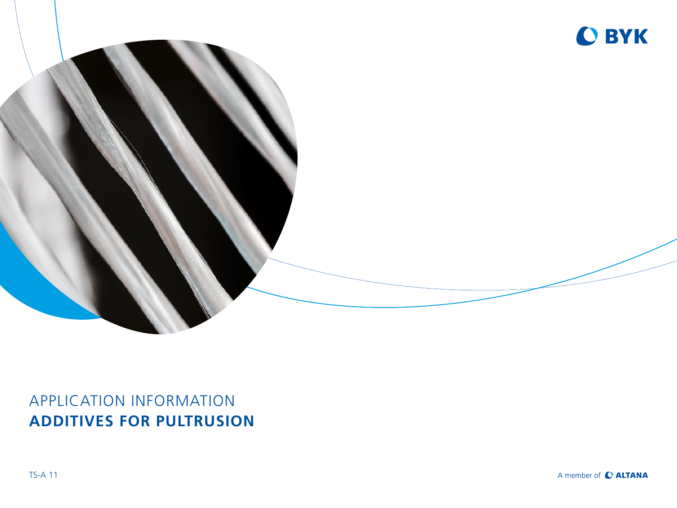

# APPLICATION INFORMATION **ADDITIVES FOR PULTRUSION**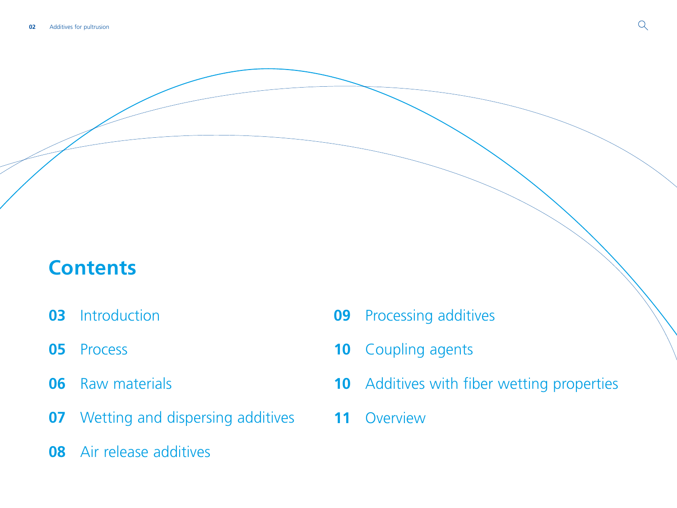# **Contents**

- [Introduction](#page-2-0)
- [Process](#page-4-0)
- [Raw materials](#page-5-0)
- [Wetting and dispersing additives](#page-6-0)
- [Air release additives](#page-7-0)
- [Processing additives](#page-8-0)
- [Coupling agents](#page-9-0)
- [Additives with fiber wetting properties](#page-9-0)
- [Overview](#page-10-0)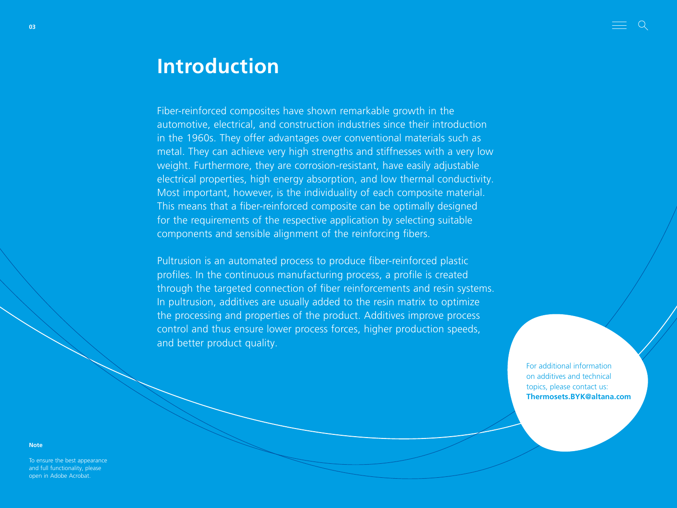# <span id="page-2-0"></span>**Introduction**

Fiber-reinforced composites have shown remarkable growth in the automotive, electrical, and construction industries since their introduction in the 1960s. They offer advantages over conventional materials such as metal. They can achieve very high strengths and stiffnesses with a very low weight. Furthermore, they are corrosion-resistant, have easily adjustable electrical properties, high energy absorption, and low thermal conductivity. Most important, however, is the individuality of each composite material. This means that a fiber-reinforced composite can be optimally designed for the requirements of the respective application by selecting suitable components and sensible alignment of the reinforcing fibers.

Pultrusion is an automated process to produce fiber-reinforced plastic profiles. In the continuous manufacturing process, a profile is created through the targeted connection of fiber reinforcements and resin systems. In pultrusion, additives are usually added to the resin matrix to optimize the processing and properties of the product. Additives improve process control and thus ensure lower process forces, higher production speeds, and better product quality.

> For additional information on additives and technical topics, please contact us: **Thermosets.BYK@altana.com**

**Note**

To ensure the best appearance and full functionality, please open in Adobe Acrobat.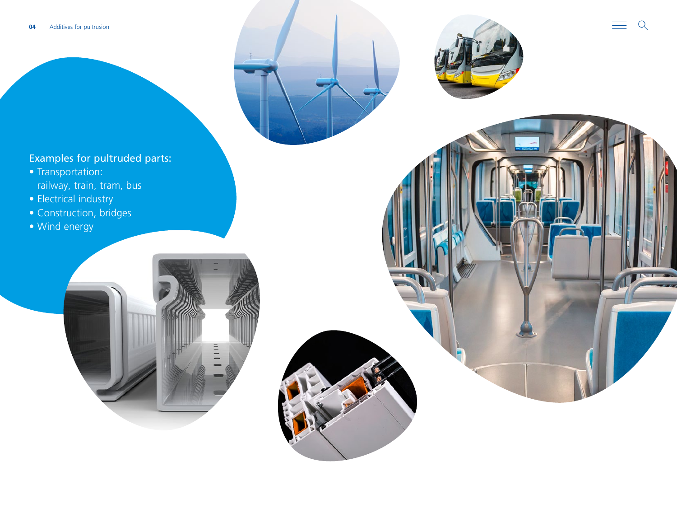

- Transportation: railway, train, tram, bus
- Electrical industry
- Construction, bridges
- Wind energy



 $\mathcal{I}$ 

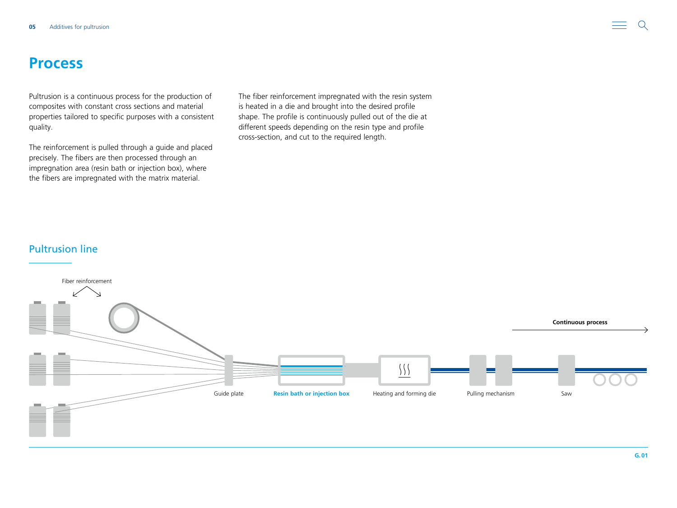## <span id="page-4-0"></span>**Process**

Pultrusion is a continuous process for the production of composites with constant cross sections and material properties tailored to specific purposes with a consistent quality.

The reinforcement is pulled through a guide and placed precisely. The fibers are then processed through an impregnation area (resin bath or injection box), where the fibers are impregnated with the matrix material.

The fiber reinforcement impregnated with the resin system is heated in a die and brought into the desired profile shape. The profile is continuously pulled out of the die at different speeds depending on the resin type and profile cross-section, and cut to the required length.

### Pultrusion line

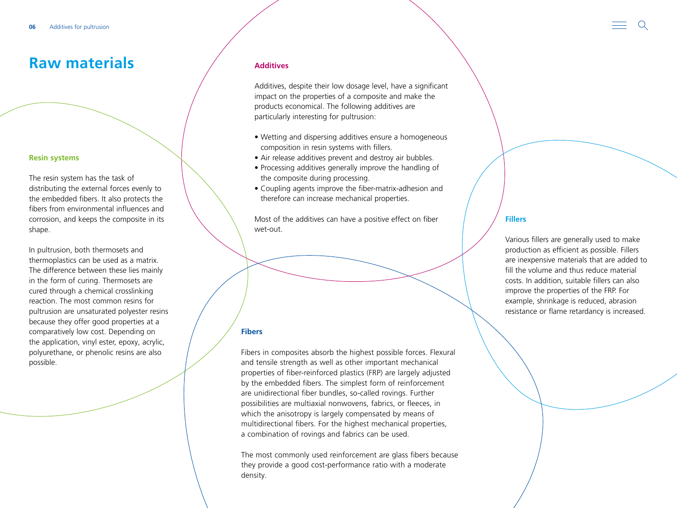## <span id="page-5-0"></span>**Raw materials**

#### **Resin systems**

The resin system has the task of distributing the external forces evenly to the embedded fibers. It also protects the fibers from environmental influences and corrosion, and keeps the composite in its shape.

In pultrusion, both thermosets and thermoplastics can be used as a matrix. The difference between these lies mainly in the form of curing. Thermosets are cured through a chemical crosslinking reaction. The most common resins for pultrusion are unsaturated polyester resins because they offer good properties at a comparatively low cost. Depending on the application, vinyl ester, epoxy, acrylic, polyurethane, or phenolic resins are also possible.

#### **Additives**

Additives, despite their low dosage level, have a significant impact on the properties of a composite and make the products economical. The following additives are particularly interesting for pultrusion:

- Wetting and dispersing additives ensure a homogeneous composition in resin systems with fillers.
- Air release additives prevent and destroy air bubbles.
- Processing additives generally improve the handling of the composite during processing.
- Coupling agents improve the fiber-matrix-adhesion and therefore can increase mechanical properties.

Most of the additives can have a positive effect on fiber wet-out.

#### **Fibers**

Fibers in composites absorb the highest possible forces. Flexural and tensile strength as well as other important mechanical properties of fiber-reinforced plastics (FRP) are largely adjusted by the embedded fibers. The simplest form of reinforcement are unidirectional fiber bundles, so-called rovings. Further possibilities are multiaxial nonwovens, fabrics, or fleeces, in which the anisotropy is largely compensated by means of multidirectional fibers. For the highest mechanical properties, a combination of rovings and fabrics can be used.

The most commonly used reinforcement are glass fibers because they provide a good cost-performance ratio with a moderate density.

### **Fillers**

Various fillers are generally used to make production as efficient as possible. Fillers are inexpensive materials that are added to fill the volume and thus reduce material costs. In addition, suitable fillers can also improve the properties of the FRP. For example, shrinkage is reduced, abrasion resistance or flame retardancy is increased.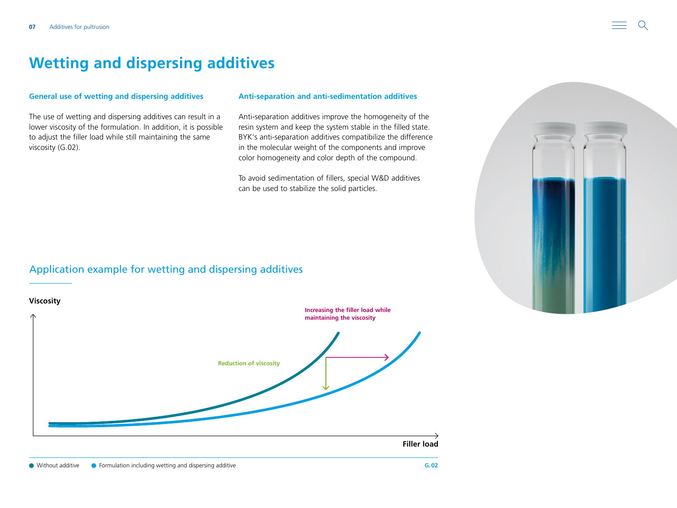## <span id="page-6-0"></span>**Wetting and dispersing additives**

#### **General use of wetting and dispersing additives**

The use of wetting and dispersing additives can result in a lower viscosity of the formulation. In addition, it is possible to adjust the filler load while still maintaining the same viscosity (G.02).

#### **Anti-separation and anti-sedimentation additives**

Anti-separation additives improve the homogeneity of the resin system and keep the system stable in the filled state. BYK's anti-separation additives compatibilize the difference in the molecular weight of the components and improve color homogeneity and color depth of the compound.

To avoid sedimentation of fillers, special W&D additives can be used to stabilize the solid particles.

### Application example for wetting and dispersing additives



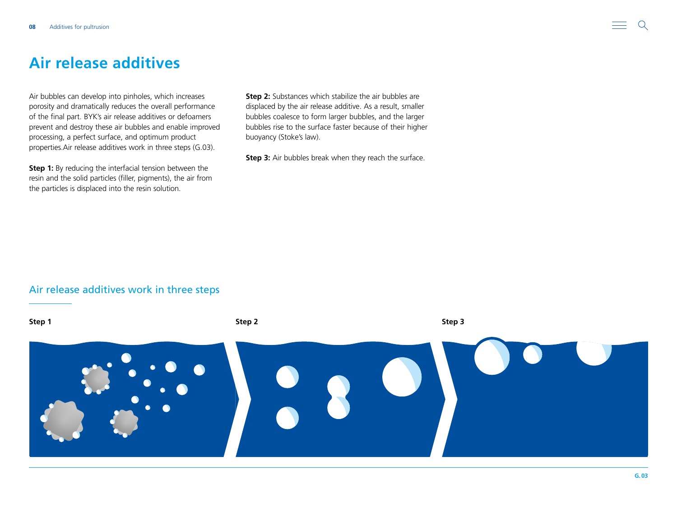## <span id="page-7-0"></span>**Air release additives**

Air bubbles can develop into pinholes, which increases porosity and dramatically reduces the overall performance of the final part. BYK's air release additives or defoamers prevent and destroy these air bubbles and enable improved processing, a perfect surface, and optimum product properties.Air release additives work in three steps (G.03).

**Step 1:** By reducing the interfacial tension between the resin and the solid particles (filler, pigments), the air from the particles is displaced into the resin solution.

**Step 2:** Substances which stabilize the air bubbles are displaced by the air release additive. As a result, smaller bubbles coalesce to form larger bubbles, and the larger bubbles rise to the surface faster because of their higher buoyancy (Stoke's law).

**Step 3:** Air bubbles break when they reach the surface.

### Air release additives work in three steps

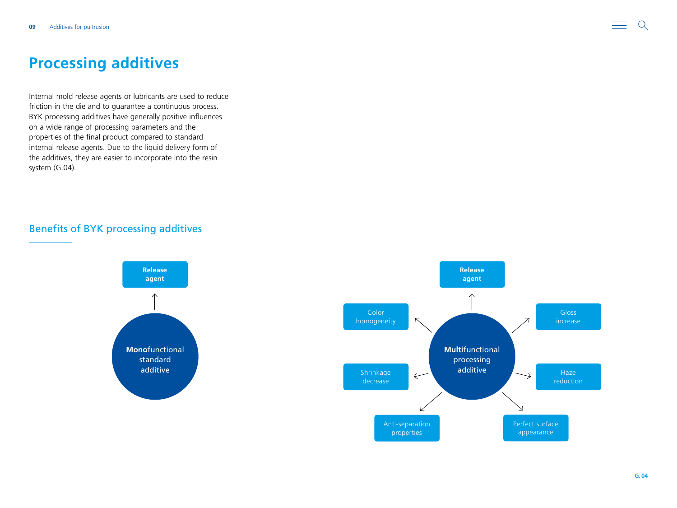## <span id="page-8-0"></span>**Processing additives**

Internal mold release agents or lubricants are used to reduce friction in the die and to guarantee a continuous process. BYK processing additives have generally positive influences on a wide range of processing parameters and the properties of the final product compared to standard internal release agents. Due to the liquid delivery form of the additives, they are easier to incorporate into the resin system (G.04).

## Benefits of BYK processing additives



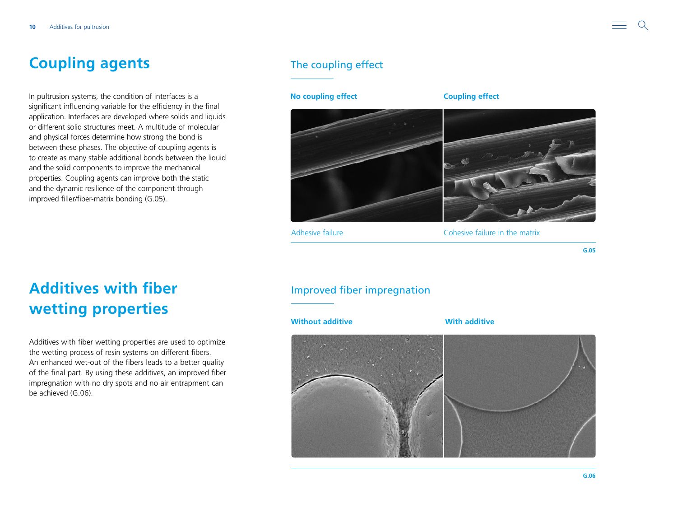# <span id="page-9-0"></span>**Coupling agents**

In pultrusion systems, the condition of interfaces is a significant influencing variable for the efficiency in the final application. Interfaces are developed where solids and liquids or different solid structures meet. A multitude of molecular and physical forces determine how strong the bond is between these phases. The objective of coupling agents is to create as many stable additional bonds between the liquid and the solid components to improve the mechanical properties. Coupling agents can improve both the static and the dynamic resilience of the component through improved filler/fiber-matrix bonding (G.05).

## The coupling effect

### **No coupling effect Coupling effect**



Adhesive failure **Adhesive failure** in the matrix

**G.05**

# **Additives with fiber wetting properties**

Additives with fiber wetting properties are used to optimize the wetting process of resin systems on different fibers. An enhanced wet-out of the fibers leads to a better quality of the final part. By using these additives, an improved fiber impregnation with no dry spots and no air entrapment can be achieved (G.06).

## Improved fiber impregnation

**Without additive With additive**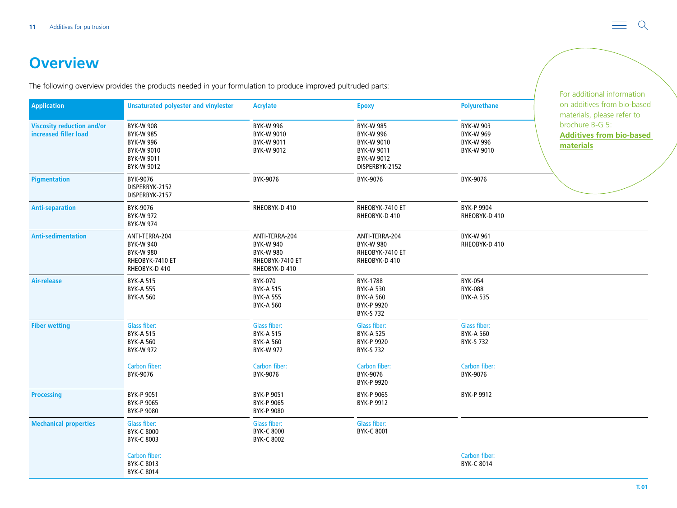# <span id="page-10-0"></span>**Overview**

The following overview provides the products needed in your formulation to produce improved pultruded parts:

|                                                            |                                                                                                    |                                                                                            |                                                                                                  |                                                                        | For additional information                                                                                                   |
|------------------------------------------------------------|----------------------------------------------------------------------------------------------------|--------------------------------------------------------------------------------------------|--------------------------------------------------------------------------------------------------|------------------------------------------------------------------------|------------------------------------------------------------------------------------------------------------------------------|
| <b>Application</b>                                         | <b>Unsaturated polyester and vinylester</b>                                                        | <b>Acrylate</b>                                                                            | <b>Epoxy</b>                                                                                     | <b>Polyurethane</b>                                                    | on additives from bio-based<br>materials, please refer to<br>brochure B-G 5:<br><b>Additives from bio-based</b><br>materials |
| <b>Viscosity reduction and/or</b><br>increased filler load | <b>BYK-W 908</b><br><b>BYK-W 985</b><br><b>BYK-W 996</b><br>BYK-W 9010<br>BYK-W 9011<br>BYK-W 9012 | <b>BYK-W 996</b><br>BYK-W 9010<br>BYK-W 9011<br>BYK-W 9012                                 | <b>BYK-W 985</b><br><b>BYK-W 996</b><br>BYK-W 9010<br>BYK-W 9011<br>BYK-W 9012<br>DISPERBYK-2152 | <b>BYK-W 903</b><br><b>BYK-W 969</b><br><b>BYK-W 996</b><br>BYK-W 9010 |                                                                                                                              |
| <b>Pigmentation</b>                                        | BYK-9076<br>DISPERBYK-2152<br>DISPERBYK-2157                                                       | BYK-9076                                                                                   | BYK-9076                                                                                         | BYK-9076                                                               |                                                                                                                              |
| <b>Anti-separation</b>                                     | BYK-9076<br><b>BYK-W 972</b><br><b>BYK-W 974</b>                                                   | RHEOBYK-D 410                                                                              | RHEOBYK-7410 ET<br>RHEOBYK-D 410                                                                 | BYK-P 9904<br>RHEOBYK-D 410                                            |                                                                                                                              |
| <b>Anti-sedimentation</b>                                  | ANTI-TERRA-204<br><b>BYK-W 940</b><br><b>BYK-W 980</b><br>RHEOBYK-7410 ET<br>RHEOBYK-D 410         | ANTI-TERRA-204<br><b>BYK-W 940</b><br><b>BYK-W 980</b><br>RHEOBYK-7410 ET<br>RHEOBYK-D 410 | ANTI-TERRA-204<br><b>BYK-W 980</b><br>RHEOBYK-7410 ET<br>RHEOBYK-D 410                           | <b>BYK-W 961</b><br>RHEOBYK-D 410                                      |                                                                                                                              |
| <b>Air-release</b>                                         | <b>BYK-A 515</b><br><b>BYK-A 555</b><br><b>BYK-A 560</b>                                           | BYK-070<br><b>BYK-A 515</b><br><b>BYK-A 555</b><br><b>BYK-A 560</b>                        | BYK-1788<br><b>BYK-A 530</b><br><b>BYK-A 560</b><br>BYK-P 9920<br><b>BYK-S 732</b>               | <b>BYK-054</b><br><b>BYK-088</b><br><b>BYK-A 535</b>                   |                                                                                                                              |
| <b>Fiber wetting</b>                                       | <b>Glass fiber:</b><br><b>BYK-A 515</b><br><b>BYK-A 560</b><br><b>BYK-W 972</b>                    | <b>Glass fiber:</b><br><b>BYK-A 515</b><br><b>BYK-A 560</b><br><b>BYK-W 972</b>            | <b>Glass fiber:</b><br><b>BYK-A 525</b><br>BYK-P 9920<br>BYK-S 732                               | Glass fiber:<br><b>BYK-A 560</b><br>BYK-S 732                          |                                                                                                                              |
|                                                            | Carbon fiber:<br>BYK-9076                                                                          | Carbon fiber:<br>BYK-9076                                                                  | Carbon fiber:<br>BYK-9076<br>BYK-P 9920                                                          | Carbon fiber:<br>BYK-9076                                              |                                                                                                                              |
| <b>Processing</b>                                          | BYK-P 9051<br>BYK-P 9065<br>BYK-P 9080                                                             | BYK-P 9051<br>BYK-P 9065<br>BYK-P 9080                                                     | BYK-P 9065<br>BYK-P 9912                                                                         | BYK-P 9912                                                             |                                                                                                                              |
| <b>Mechanical properties</b>                               | <b>Glass fiber:</b><br><b>BYK-C 8000</b><br>BYK-C 8003                                             | Glass fiber:<br><b>BYK-C 8000</b><br><b>BYK-C 8002</b>                                     | <b>Glass fiber:</b><br>BYK-C 8001                                                                |                                                                        |                                                                                                                              |
|                                                            | Carbon fiber:<br><b>BYK-C 8013</b><br><b>BYK-C 8014</b>                                            |                                                                                            |                                                                                                  | Carbon fiber:<br>BYK-C 8014                                            |                                                                                                                              |

 $\mathsf{Q}$  $\equiv$